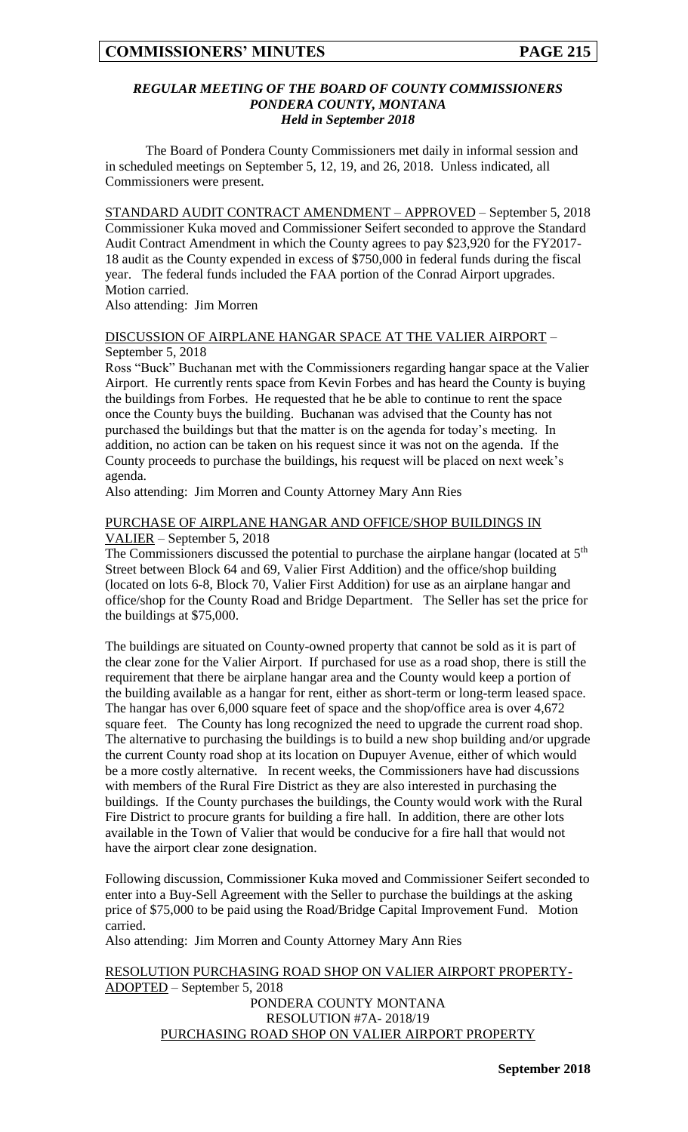#### *REGULAR MEETING OF THE BOARD OF COUNTY COMMISSIONERS PONDERA COUNTY, MONTANA Held in September 2018*

The Board of Pondera County Commissioners met daily in informal session and in scheduled meetings on September 5, 12, 19, and 26, 2018. Unless indicated, all Commissioners were present.

STANDARD AUDIT CONTRACT AMENDMENT – APPROVED – September 5, 2018 Commissioner Kuka moved and Commissioner Seifert seconded to approve the Standard Audit Contract Amendment in which the County agrees to pay \$23,920 for the FY2017- 18 audit as the County expended in excess of \$750,000 in federal funds during the fiscal year. The federal funds included the FAA portion of the Conrad Airport upgrades. Motion carried.

Also attending: Jim Morren

#### DISCUSSION OF AIRPLANE HANGAR SPACE AT THE VALIER AIRPORT – September 5, 2018

Ross "Buck" Buchanan met with the Commissioners regarding hangar space at the Valier Airport. He currently rents space from Kevin Forbes and has heard the County is buying the buildings from Forbes. He requested that he be able to continue to rent the space once the County buys the building. Buchanan was advised that the County has not purchased the buildings but that the matter is on the agenda for today's meeting. In addition, no action can be taken on his request since it was not on the agenda. If the County proceeds to purchase the buildings, his request will be placed on next week's agenda.

Also attending: Jim Morren and County Attorney Mary Ann Ries

#### PURCHASE OF AIRPLANE HANGAR AND OFFICE/SHOP BUILDINGS IN VALIER – September 5, 2018

The Commissioners discussed the potential to purchase the airplane hangar (located at  $5<sup>th</sup>$ Street between Block 64 and 69, Valier First Addition) and the office/shop building (located on lots 6-8, Block 70, Valier First Addition) for use as an airplane hangar and office/shop for the County Road and Bridge Department. The Seller has set the price for the buildings at \$75,000.

The buildings are situated on County-owned property that cannot be sold as it is part of the clear zone for the Valier Airport. If purchased for use as a road shop, there is still the requirement that there be airplane hangar area and the County would keep a portion of the building available as a hangar for rent, either as short-term or long-term leased space. The hangar has over 6,000 square feet of space and the shop/office area is over 4,672 square feet. The County has long recognized the need to upgrade the current road shop. The alternative to purchasing the buildings is to build a new shop building and/or upgrade the current County road shop at its location on Dupuyer Avenue, either of which would be a more costly alternative. In recent weeks, the Commissioners have had discussions with members of the Rural Fire District as they are also interested in purchasing the buildings. If the County purchases the buildings, the County would work with the Rural Fire District to procure grants for building a fire hall. In addition, there are other lots available in the Town of Valier that would be conducive for a fire hall that would not have the airport clear zone designation.

Following discussion, Commissioner Kuka moved and Commissioner Seifert seconded to enter into a Buy-Sell Agreement with the Seller to purchase the buildings at the asking price of \$75,000 to be paid using the Road/Bridge Capital Improvement Fund. Motion carried.

Also attending: Jim Morren and County Attorney Mary Ann Ries

RESOLUTION PURCHASING ROAD SHOP ON VALIER AIRPORT PROPERTY-ADOPTED – September 5, 2018 PONDERA COUNTY MONTANA RESOLUTION #7A- 2018/19 PURCHASING ROAD SHOP ON VALIER AIRPORT PROPERTY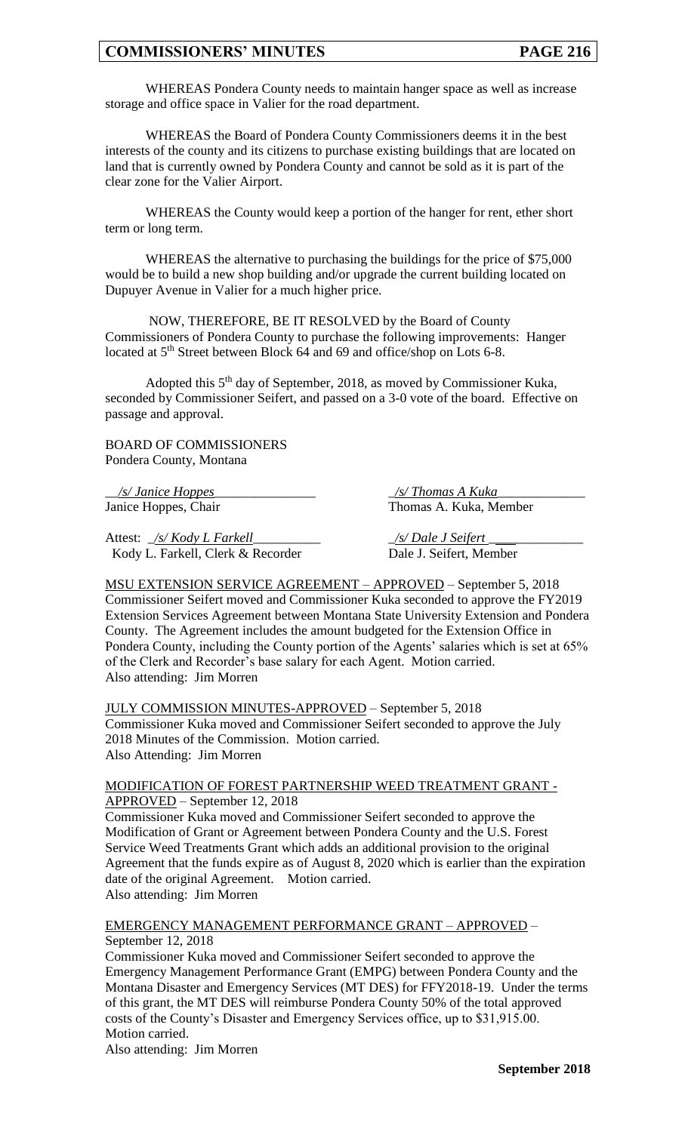WHEREAS Pondera County needs to maintain hanger space as well as increase storage and office space in Valier for the road department.

WHEREAS the Board of Pondera County Commissioners deems it in the best interests of the county and its citizens to purchase existing buildings that are located on land that is currently owned by Pondera County and cannot be sold as it is part of the clear zone for the Valier Airport.

WHEREAS the County would keep a portion of the hanger for rent, ether short term or long term.

WHEREAS the alternative to purchasing the buildings for the price of \$75,000 would be to build a new shop building and/or upgrade the current building located on Dupuyer Avenue in Valier for a much higher price.

NOW, THEREFORE, BE IT RESOLVED by the Board of County Commissioners of Pondera County to purchase the following improvements: Hanger located at 5<sup>th</sup> Street between Block 64 and 69 and office/shop on Lots 6-8.

Adopted this 5th day of September, 2018, as moved by Commissioner Kuka, seconded by Commissioner Seifert, and passed on a 3-0 vote of the board. Effective on passage and approval.

BOARD OF COMMISSIONERS Pondera County, Montana

\_\_*/s/ Janice Hoppes*\_\_\_\_\_\_\_\_\_\_\_\_\_\_\_ \_*/s/ Thomas A Kuka*\_\_\_\_\_\_\_\_\_\_\_\_\_

Attest: <u>\_/s/ Kody L Farkell</u> \_\_\_\_\_\_\_\_\_\_\_\_\_\_\_ \_\_\_\_\_\_ <u>/s/ Dale J Seifert</u> Kody L. Farkell, Clerk & Recorder Dale J. Seifert, Member

Janice Hoppes, Chair Thomas A. Kuka, Member

MSU EXTENSION SERVICE AGREEMENT – APPROVED – September 5, 2018 Commissioner Seifert moved and Commissioner Kuka seconded to approve the FY2019 Extension Services Agreement between Montana State University Extension and Pondera County. The Agreement includes the amount budgeted for the Extension Office in Pondera County, including the County portion of the Agents' salaries which is set at 65% of the Clerk and Recorder's base salary for each Agent. Motion carried. Also attending: Jim Morren

JULY COMMISSION MINUTES-APPROVED – September 5, 2018 Commissioner Kuka moved and Commissioner Seifert seconded to approve the July 2018 Minutes of the Commission. Motion carried. Also Attending: Jim Morren

#### MODIFICATION OF FOREST PARTNERSHIP WEED TREATMENT GRANT - APPROVED – September 12, 2018

Commissioner Kuka moved and Commissioner Seifert seconded to approve the Modification of Grant or Agreement between Pondera County and the U.S. Forest Service Weed Treatments Grant which adds an additional provision to the original Agreement that the funds expire as of August 8, 2020 which is earlier than the expiration date of the original Agreement. Motion carried. Also attending: Jim Morren

#### EMERGENCY MANAGEMENT PERFORMANCE GRANT – APPROVED – September 12, 2018

Commissioner Kuka moved and Commissioner Seifert seconded to approve the Emergency Management Performance Grant (EMPG) between Pondera County and the Montana Disaster and Emergency Services (MT DES) for FFY2018-19. Under the terms of this grant, the MT DES will reimburse Pondera County 50% of the total approved costs of the County's Disaster and Emergency Services office, up to \$31,915.00. Motion carried.

Also attending: Jim Morren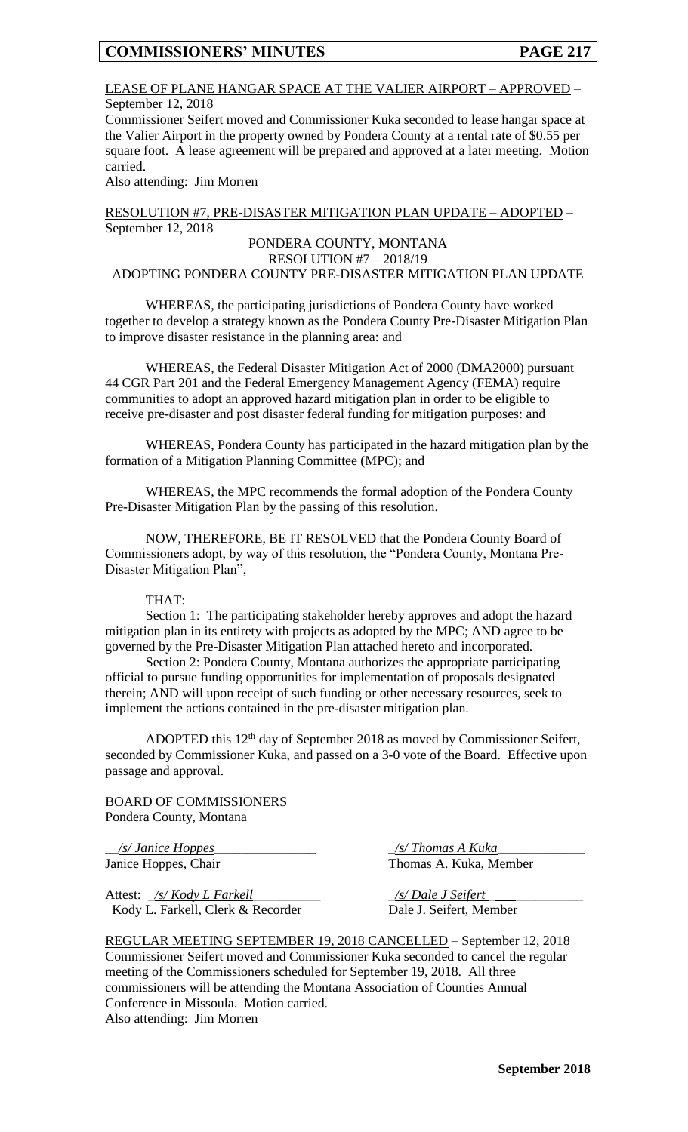#### LEASE OF PLANE HANGAR SPACE AT THE VALIER AIRPORT – APPROVED – September 12, 2018

Commissioner Seifert moved and Commissioner Kuka seconded to lease hangar space at the Valier Airport in the property owned by Pondera County at a rental rate of \$0.55 per square foot. A lease agreement will be prepared and approved at a later meeting. Motion carried.

Also attending: Jim Morren

RESOLUTION #7, PRE-DISASTER MITIGATION PLAN UPDATE – ADOPTED – September 12, 2018

#### PONDERA COUNTY, MONTANA RESOLUTION #7 – 2018/19

# ADOPTING PONDERA COUNTY PRE-DISASTER MITIGATION PLAN UPDATE

WHEREAS, the participating jurisdictions of Pondera County have worked together to develop a strategy known as the Pondera County Pre-Disaster Mitigation Plan to improve disaster resistance in the planning area: and

WHEREAS, the Federal Disaster Mitigation Act of 2000 (DMA2000) pursuant 44 CGR Part 201 and the Federal Emergency Management Agency (FEMA) require communities to adopt an approved hazard mitigation plan in order to be eligible to receive pre-disaster and post disaster federal funding for mitigation purposes: and

WHEREAS, Pondera County has participated in the hazard mitigation plan by the formation of a Mitigation Planning Committee (MPC); and

WHEREAS, the MPC recommends the formal adoption of the Pondera County Pre-Disaster Mitigation Plan by the passing of this resolution.

NOW, THEREFORE, BE IT RESOLVED that the Pondera County Board of Commissioners adopt, by way of this resolution, the "Pondera County, Montana Pre-Disaster Mitigation Plan",

#### THAT:

Section 1: The participating stakeholder hereby approves and adopt the hazard mitigation plan in its entirety with projects as adopted by the MPC; AND agree to be governed by the Pre-Disaster Mitigation Plan attached hereto and incorporated.

Section 2: Pondera County, Montana authorizes the appropriate participating official to pursue funding opportunities for implementation of proposals designated therein; AND will upon receipt of such funding or other necessary resources, seek to implement the actions contained in the pre-disaster mitigation plan.

ADOPTED this 12th day of September 2018 as moved by Commissioner Seifert, seconded by Commissioner Kuka, and passed on a 3-0 vote of the Board. Effective upon passage and approval.

BOARD OF COMMISSIONERS Pondera County, Montana

Attest: \_*/s/ Kody L Farkell*\_\_\_\_\_\_\_\_\_\_ \_*/s/ Dale J Seifert* \_\_\_\_\_\_\_\_\_\_\_\_\_\_ Kody L. Farkell, Clerk & Recorder Dale J. Seifert, Member

\_\_*/s/ Janice Hoppes*\_\_\_\_\_\_\_\_\_\_\_\_\_\_\_ \_*/s/ Thomas A Kuka*\_\_\_\_\_\_\_\_\_\_\_\_\_ Janice Hoppes, Chair Thomas A. Kuka, Member

REGULAR MEETING SEPTEMBER 19, 2018 CANCELLED – September 12, 2018 Commissioner Seifert moved and Commissioner Kuka seconded to cancel the regular meeting of the Commissioners scheduled for September 19, 2018. All three commissioners will be attending the Montana Association of Counties Annual Conference in Missoula. Motion carried. Also attending: Jim Morren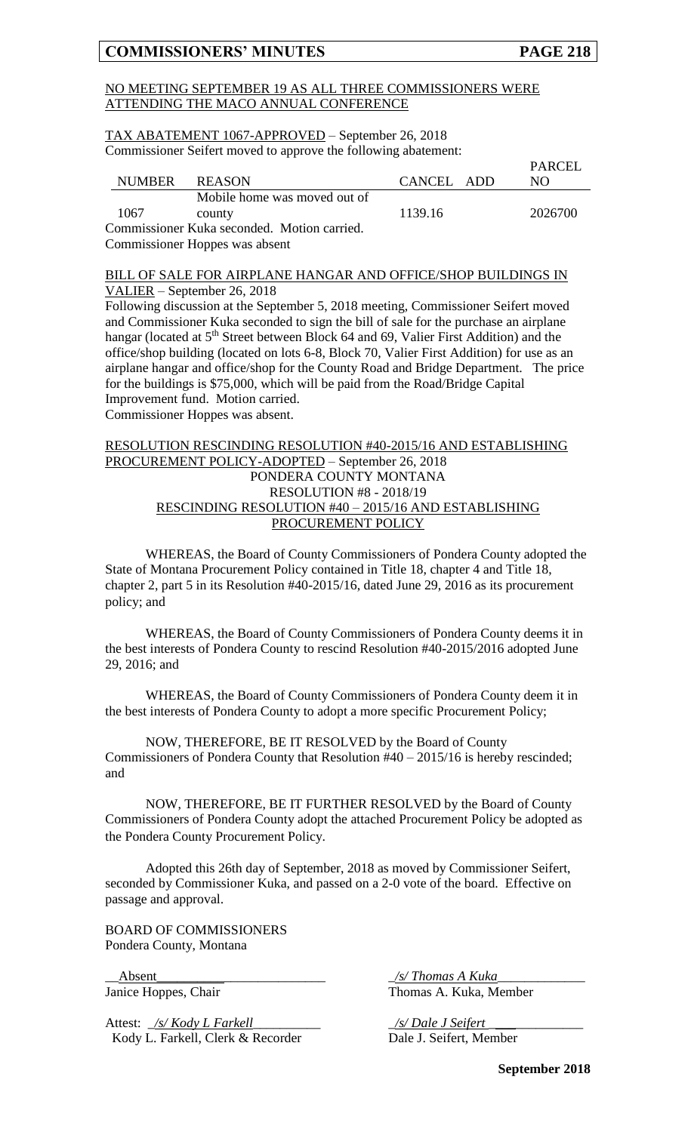#### NO MEETING SEPTEMBER 19 AS ALL THREE COMMISSIONERS WERE ATTENDING THE MACO ANNUAL CONFERENCE

TAX ABATEMENT 1067-APPROVED – September 26, 2018 Commissioner Seifert moved to approve the following abatement:

|               |                                             |            | PARCEL  |
|---------------|---------------------------------------------|------------|---------|
| NUMBER REASON |                                             | CANCEL ADD | NO.     |
|               | Mobile home was moved out of                |            |         |
| 1067          | county                                      | 1139.16    | 2026700 |
|               | Commissioner Kuka seconded. Motion carried. |            |         |
|               | Commissioner Hoppes was absent              |            |         |

#### BILL OF SALE FOR AIRPLANE HANGAR AND OFFICE/SHOP BUILDINGS IN VALIER – September 26, 2018

Following discussion at the September 5, 2018 meeting, Commissioner Seifert moved and Commissioner Kuka seconded to sign the bill of sale for the purchase an airplane hangar (located at 5<sup>th</sup> Street between Block 64 and 69, Valier First Addition) and the office/shop building (located on lots 6-8, Block 70, Valier First Addition) for use as an airplane hangar and office/shop for the County Road and Bridge Department. The price for the buildings is \$75,000, which will be paid from the Road/Bridge Capital Improvement fund. Motion carried. Commissioner Hoppes was absent.

#### RESOLUTION RESCINDING RESOLUTION #40-2015/16 AND ESTABLISHING PROCUREMENT POLICY-ADOPTED – September 26, 2018 PONDERA COUNTY MONTANA RESOLUTION #8 - 2018/19 RESCINDING RESOLUTION #40 – 2015/16 AND ESTABLISHING PROCUREMENT POLICY

WHEREAS, the Board of County Commissioners of Pondera County adopted the State of Montana Procurement Policy contained in Title 18, chapter 4 and Title 18, chapter 2, part 5 in its Resolution #40-2015/16, dated June 29, 2016 as its procurement policy; and

WHEREAS, the Board of County Commissioners of Pondera County deems it in the best interests of Pondera County to rescind Resolution #40-2015/2016 adopted June 29, 2016; and

WHEREAS, the Board of County Commissioners of Pondera County deem it in the best interests of Pondera County to adopt a more specific Procurement Policy;

NOW, THEREFORE, BE IT RESOLVED by the Board of County Commissioners of Pondera County that Resolution #40 – 2015/16 is hereby rescinded; and

NOW, THEREFORE, BE IT FURTHER RESOLVED by the Board of County Commissioners of Pondera County adopt the attached Procurement Policy be adopted as the Pondera County Procurement Policy.

Adopted this 26th day of September, 2018 as moved by Commissioner Seifert, seconded by Commissioner Kuka, and passed on a 2-0 vote of the board. Effective on passage and approval.

BOARD OF COMMISSIONERS Pondera County, Montana

Attest: <u>\_/s/ Kody L Farkell</u> \_\_\_\_\_\_\_\_\_\_\_\_\_\_\_\_\_\_\_\_\_\_\_ <u>\_/s/ Dale J Seifert</u> Kody L. Farkell, Clerk & Recorder Dale J. Seifert, Member

\_\_Absent\_\_\_\_\_\_\_\_\_\_\_\_\_\_\_\_\_\_\_\_\_\_\_\_\_ \_*/s/ Thomas A Kuka*\_\_\_\_\_\_\_\_\_\_\_\_\_ Janice Hoppes, Chair Thomas A. Kuka, Member

**September 2018**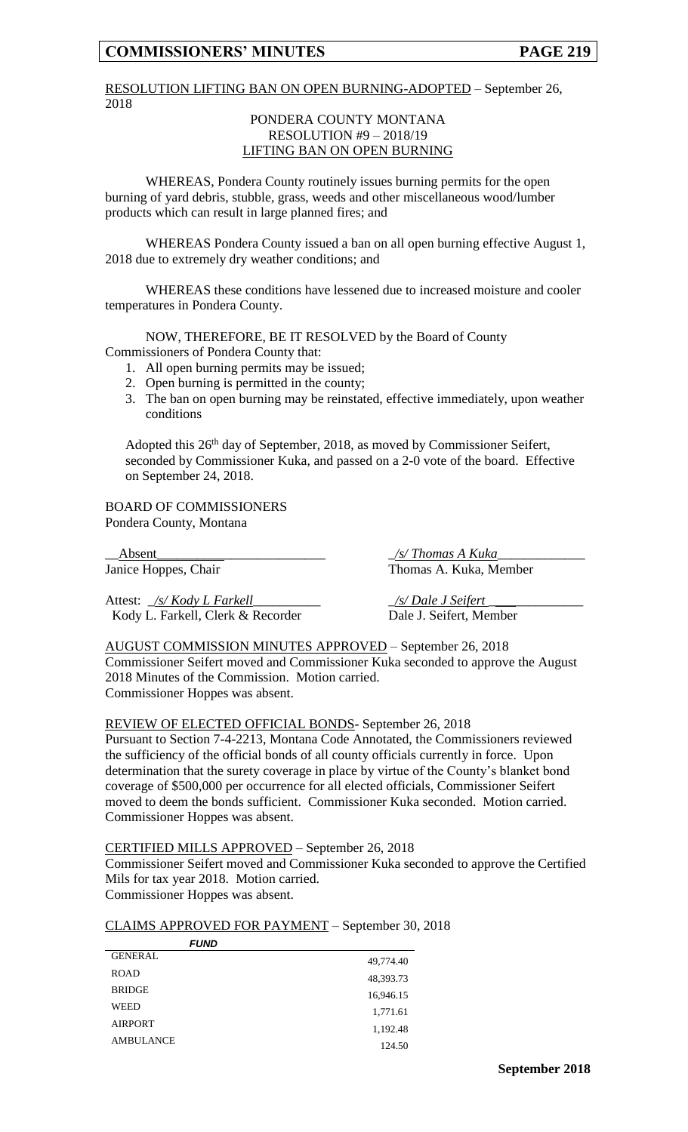#### RESOLUTION LIFTING BAN ON OPEN BURNING-ADOPTED – September 26, 2018

#### PONDERA COUNTY MONTANA RESOLUTION #9 – 2018/19 LIFTING BAN ON OPEN BURNING

WHEREAS, Pondera County routinely issues burning permits for the open burning of yard debris, stubble, grass, weeds and other miscellaneous wood/lumber products which can result in large planned fires; and

WHEREAS Pondera County issued a ban on all open burning effective August 1, 2018 due to extremely dry weather conditions; and

WHEREAS these conditions have lessened due to increased moisture and cooler temperatures in Pondera County.

NOW, THEREFORE, BE IT RESOLVED by the Board of County Commissioners of Pondera County that:

- 1. All open burning permits may be issued;
- 2. Open burning is permitted in the county;
- 3. The ban on open burning may be reinstated, effective immediately, upon weather conditions

Adopted this 26<sup>th</sup> day of September, 2018, as moved by Commissioner Seifert, seconded by Commissioner Kuka, and passed on a 2-0 vote of the board. Effective on September 24, 2018.

BOARD OF COMMISSIONERS Pondera County, Montana

\_\_Absent\_\_\_\_\_\_\_\_\_\_\_\_\_\_\_\_\_\_\_\_\_\_\_\_\_ \_*/s/ Thomas A Kuka*\_\_\_\_\_\_\_\_\_\_\_\_\_

Attest: <u>\_/s/ Kody L Farkell</u> \_\_\_\_\_\_\_\_\_\_\_\_\_\_\_ \_\_\_\_\_\_ <u>/s/ Dale J Seifert</u> Kody L. Farkell, Clerk & Recorder Dale J. Seifert, Member

Janice Hoppes, Chair Thomas A. Kuka, Member

AUGUST COMMISSION MINUTES APPROVED – September 26, 2018 Commissioner Seifert moved and Commissioner Kuka seconded to approve the August 2018 Minutes of the Commission. Motion carried. Commissioner Hoppes was absent.

REVIEW OF ELECTED OFFICIAL BONDS- September 26, 2018

Pursuant to Section 7-4-2213, Montana Code Annotated, the Commissioners reviewed the sufficiency of the official bonds of all county officials currently in force. Upon determination that the surety coverage in place by virtue of the County's blanket bond coverage of \$500,000 per occurrence for all elected officials, Commissioner Seifert moved to deem the bonds sufficient. Commissioner Kuka seconded. Motion carried. Commissioner Hoppes was absent.

#### CERTIFIED MILLS APPROVED – September 26, 2018

Commissioner Seifert moved and Commissioner Kuka seconded to approve the Certified Mils for tax year 2018. Motion carried.

Commissioner Hoppes was absent.

#### CLAIMS APPROVED FOR PAYMENT – September 30, 2018

| <i>FUND</i>      |           |
|------------------|-----------|
| <b>GENERAL</b>   | 49,774.40 |
| <b>ROAD</b>      | 48,393.73 |
| <b>BRIDGE</b>    | 16,946.15 |
| <b>WEED</b>      | 1,771.61  |
| <b>AIRPORT</b>   | 1,192.48  |
| <b>AMBULANCE</b> | 124.50    |
|                  |           |